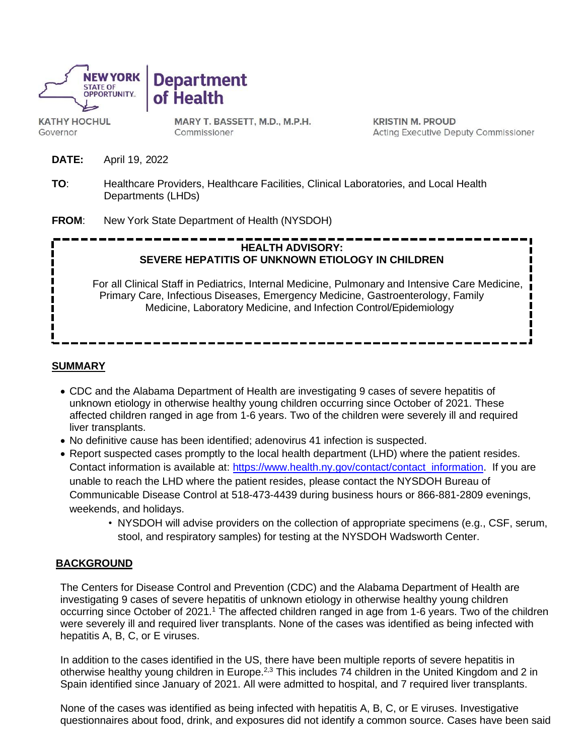

**Department** of Health

**KATHY HOCHUL** Governor

MARY T. BASSETT, M.D., M.P.H. Commissioner

**KRISTIN M. PROUD Acting Executive Deputy Commissioner** 

- **DATE:** April 19, 2022
- **TO**: Healthcare Providers, Healthcare Facilities, Clinical Laboratories, and Local Health Departments (LHDs)
- **FROM**: New York State Department of Health (NYSDOH)

# **HEALTH ADVISORY: SEVERE HEPATITIS OF UNKNOWN ETIOLOGY IN CHILDREN**

For all Clinical Staff in Pediatrics, Internal Medicine, Pulmonary and Intensive Care Medicine, Primary Care, Infectious Diseases, Emergency Medicine, Gastroenterology, Family Medicine, Laboratory Medicine, and Infection Control/Epidemiology

#### **SUMMARY**

- CDC and the Alabama Department of Health are investigating 9 cases of severe hepatitis of unknown etiology in otherwise healthy young children occurring since October of 2021. These affected children ranged in age from 1-6 years. Two of the children were severely ill and required liver transplants.
- No definitive cause has been identified; adenovirus 41 infection is suspected.
- Report suspected cases promptly to the local health department (LHD) where the patient resides. Contact information is available at: [https://www.health.ny.gov/contact/contact\\_information.](https://www.health.ny.gov/contact/contact_information) If you are unable to reach the LHD where the patient resides, please contact the NYSDOH Bureau of Communicable Disease Control at 518-473-4439 during business hours or 866-881-2809 evenings, weekends, and holidays.
	- NYSDOH will advise providers on the collection of appropriate specimens (e.g., CSF, serum, stool, and respiratory samples) for testing at the NYSDOH Wadsworth Center.

### **BACKGROUND**

The Centers for Disease Control and Prevention (CDC) and the Alabama Department of Health are investigating 9 cases of severe hepatitis of unknown etiology in otherwise healthy young children occurring since October of 2021.<sup>1</sup> The affected children ranged in age from 1-6 years. Two of the children were severely ill and required liver transplants. None of the cases was identified as being infected with hepatitis A, B, C, or E viruses.

In addition to the cases identified in the US, there have been multiple reports of severe hepatitis in otherwise healthy young children in Europe.<sup>2,3</sup> This includes 74 children in the United Kingdom and 2 in Spain identified since January of 2021. All were admitted to hospital, and 7 required liver transplants.

None of the cases was identified as being infected with hepatitis A, B, C, or E viruses. Investigative questionnaires about food, drink, and exposures did not identify a common source. Cases have been said